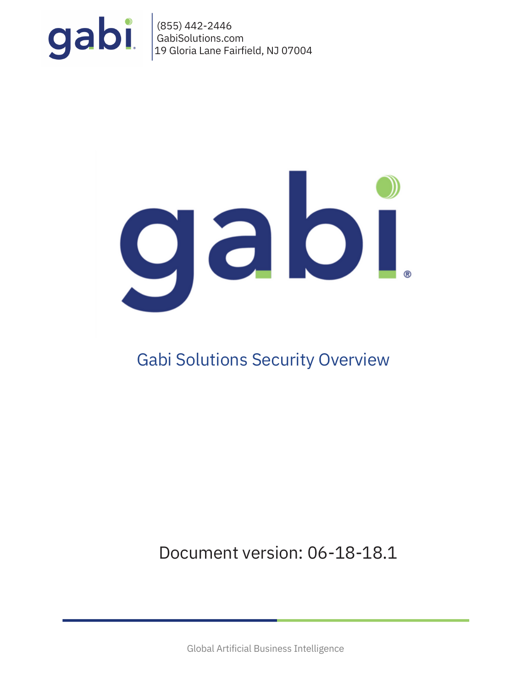

(855) 442-2446 GabiSolutions.com 19 Gloria Lane Fairfield, NJ 07004



# Gabi Solutions Security Overview

Document version: 06-18-18.1

Global Artificial Business Intelligence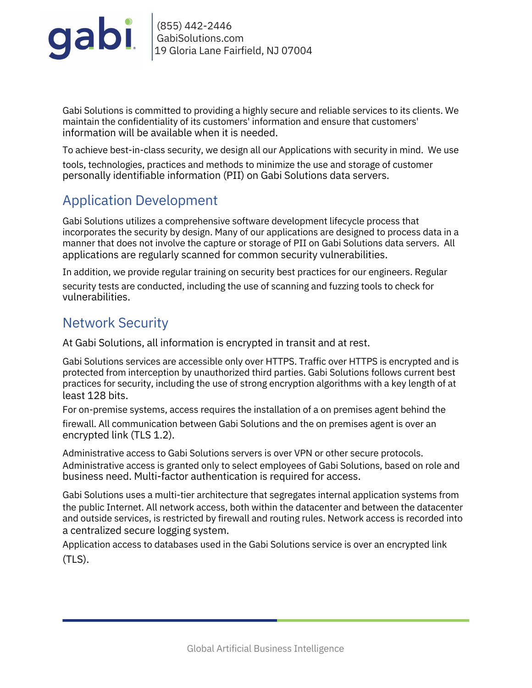

(855) 442-2446 GabiSolutions.com 19 Gloria Lane Fairfield, NJ 07004

Gabi Solutions is committed to providing a highly secure and reliable services to its clients. We maintain the confidentiality of its customers' information and ensure that customers' information will be available when it is needed.

To achieve best-in-class security, we design all our Applications with security in mind. We use

tools, technologies, practices and methods to minimize the use and storage of customer personally identifiable information (PII) on Gabi Solutions data servers.

# Application Development

Gabi Solutions utilizes a comprehensive software development lifecycle process that incorporates the security by design. Many of our applications are designed to process data in a manner that does not involve the capture or storage of PII on Gabi Solutions data servers. All applications are regularly scanned for common security vulnerabilities.

In addition, we provide regular training on security best practices for our engineers. Regular

security tests are conducted, including the use of scanning and fuzzing tools to check for vulnerabilities.

### Network Security

At Gabi Solutions, all information is encrypted in transit and at rest.

Gabi Solutions services are accessible only over HTTPS. Traffic over HTTPS is encrypted and is protected from interception by unauthorized third parties. Gabi Solutions follows current best practices for security, including the use of strong encryption algorithms with a key length of at least 128 bits.

For on-premise systems, access requires the installation of a on premises agent behind the firewall. All communication between Gabi Solutions and the on premises agent is over an encrypted link (TLS 1.2).

Administrative access to Gabi Solutions servers is over VPN or other secure protocols. Administrative access is granted only to select employees of Gabi Solutions, based on role and business need. Multi-factor authentication is required for access.

Gabi Solutions uses a multi-tier architecture that segregates internal application systems from the public Internet. All network access, both within the datacenter and between the datacenter and outside services, is restricted by firewall and routing rules. Network access is recorded into a centralized secure logging system.

Application access to databases used in the Gabi Solutions service is over an encrypted link (TLS).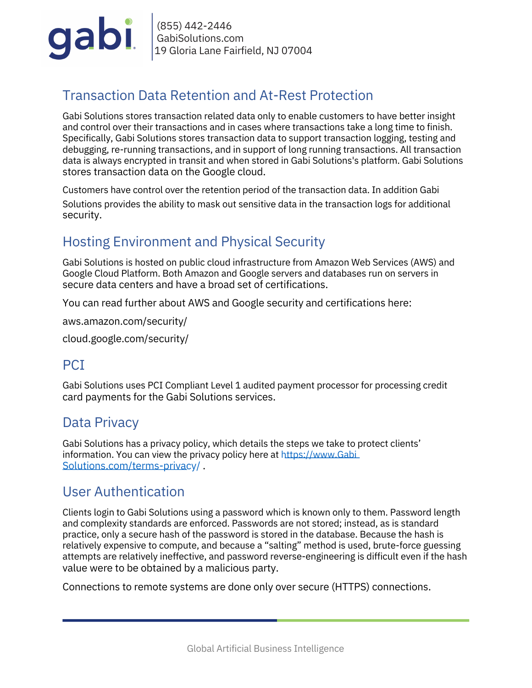

(855) 442-2446 GabiSolutions.com 19 Gloria Lane Fairfield, NJ 07004

# Transaction Data Retention and At-Rest Protection

Gabi Solutions stores transaction related data only to enable customers to have better insight and control over their transactions and in cases where transactions take a long time to finish. Specifically, Gabi Solutions stores transaction data to support transaction logging, testing and debugging, re-running transactions, and in support of long running transactions. All transaction data is always encrypted in transit and when stored in Gabi Solutions's platform. Gabi Solutions stores transaction data on the Google cloud.

Customers have control over the retention period of the transaction data. In addition Gabi Solutions provides the ability to mask out sensitive data in the transaction logs for additional security.

## Hosting Environment and Physical Security

Gabi Solutions is hosted on public cloud infrastructure from Amazon Web Services (AWS) and Google Cloud Platform. Both Amazon and Google servers and databases run on servers in secure data centers and have a broad set of certifications.

You can read further about AWS and Google security and certifications here:

aws.amazon.com/security/

cloud.google.com/security/

### PCI

Gabi Solutions uses PCI Compliant Level 1 audited payment processor for processing credit card payments for the Gabi Solutions services.

#### Data Privacy

Gabi Solutions has a privacy policy, which details the steps we take to protect clients' information. You can view the pr[iv](https://www.visione.com/terms-privacy/)acy policy here at [https://www.Gabi](https://www.visione.com/terms-privacy/) [Solutions.com/terms-privacy/](https://www.visione.com/terms-privacy/) .

#### User Authentication

Clients login to Gabi Solutions using a password which is known only to them. Password length and complexity standards are enforced. Passwords are not stored; instead, as is standard practice, only a secure hash of the password is stored in the database. Because the hash is relatively expensive to compute, and because a "salting" method is used, brute-force guessing attempts are relatively ineffective, and password reverse-engineering is difficult even if the hash value were to be obtained by a malicious party.

Connections to remote systems are done only over secure (HTTPS) connections.